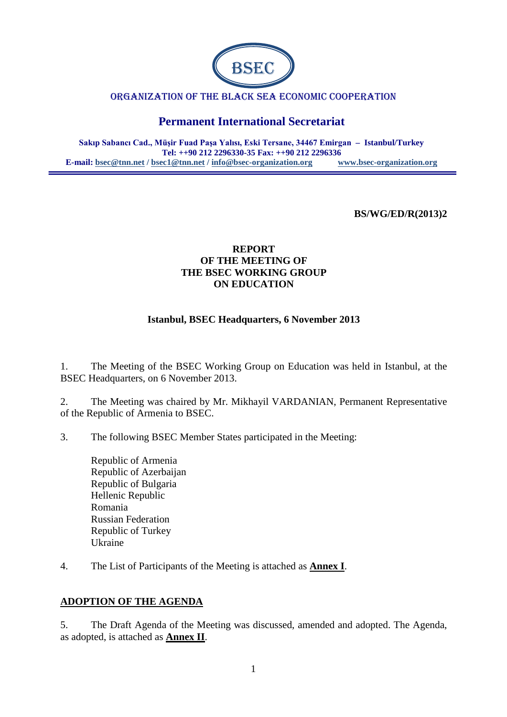

#### ORGANIZATION OF THE BLACK SEA ECONOMIC COOPERATION

# **Permanent International Secretariat**

**Sakıp Sabancı Cad., Müşir Fuad Paşa Yalısı, Eski Tersane, 34467 Emirgan – Istanbul/Turkey Tel: ++90 212 2296330-35 Fax: ++90 212 2296336 E-mail: [bsec@tnn.net](mailto:bsec@tnn.net) / bsec1@tnn.net / [info@bsec-organization.org](mailto:info@bsec-organization.org) [www.bsec-organization.org](http://www.bsec-organization.org/)**

#### **BS/WG/ED/R(2013)2**

#### **REPORT OF THE MEETING OF THE BSEC WORKING GROUP ON EDUCATION**

#### **Istanbul, BSEC Headquarters, 6 November 2013**

1. The Meeting of the BSEC Working Group on Education was held in Istanbul, at the BSEC Headquarters, on 6 November 2013.

2. The Meeting was chaired by Mr. Mikhayil VARDANIAN, Permanent Representative of the Republic of Armenia to BSEC.

- 3. The following BSEC Member States participated in the Meeting:
	- Republic of Armenia Republic of Azerbaijan Republic of Bulgaria Hellenic Republic Romania Russian Federation Republic of Turkey Ukraine
- 4. The List of Participants of the Meeting is attached as **Annex I**.

#### **ADOPTION OF THE AGENDA**

5. The Draft Agenda of the Meeting was discussed, amended and adopted. The Agenda, as adopted, is attached as **Annex II**.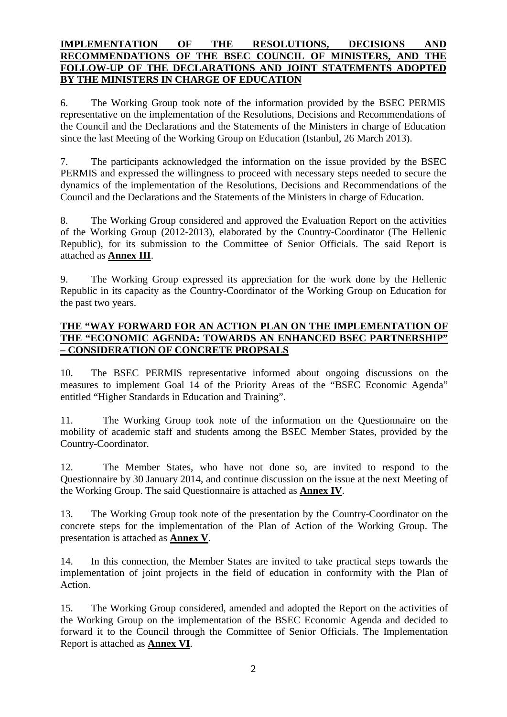#### **IMPLEMENTATION OF THE RESOLUTIONS, DECISIONS AND RECOMMENDATIONS OF THE BSEC COUNCIL OF MINISTERS, AND THE FOLLOW-UP OF THE DECLARATIONS AND JOINT STATEMENTS ADOPTED BY THE MINISTERS IN CHARGE OF EDUCATION**

6. The Working Group took note of the information provided by the BSEC PERMIS representative on the implementation of the Resolutions, Decisions and Recommendations of the Council and the Declarations and the Statements of the Ministers in charge of Education since the last Meeting of the Working Group on Education (Istanbul, 26 March 2013).

7. The participants acknowledged the information on the issue provided by the BSEC PERMIS and expressed the willingness to proceed with necessary steps needed to secure the dynamics of the implementation of the Resolutions, Decisions and Recommendations of the Council and the Declarations and the Statements of the Ministers in charge of Education.

8. The Working Group considered and approved the Evaluation Report on the activities of the Working Group (2012-2013), elaborated by the Country-Coordinator (The Hellenic Republic), for its submission to the Committee of Senior Officials. The said Report is attached as **Annex III**.

9. The Working Group expressed its appreciation for the work done by the Hellenic Republic in its capacity as the Country-Coordinator of the Working Group on Education for the past two years.

#### **THE "WAY FORWARD FOR AN ACTION PLAN ON THE IMPLEMENTATION OF THE "ECONOMIC AGENDA: TOWARDS AN ENHANCED BSEC PARTNERSHIP" – CONSIDERATION OF CONCRETE PROPSALS**

10. The BSEC PERMIS representative informed about ongoing discussions on the measures to implement Goal 14 of the Priority Areas of the "BSEC Economic Agenda" entitled "Higher Standards in Education and Training".

11. The Working Group took note of the information on the Questionnaire on the mobility of academic staff and students among the BSEC Member States, provided by the Country-Coordinator.

12. The Member States, who have not done so, are invited to respond to the Questionnaire by 30 January 2014, and continue discussion on the issue at the next Meeting of the Working Group. The said Questionnaire is attached as **Annex IV**.

13. The Working Group took note of the presentation by the Country-Coordinator on the concrete steps for the implementation of the Plan of Action of the Working Group. The presentation is attached as **Annex V**.

14. In this connection, the Member States are invited to take practical steps towards the implementation of joint projects in the field of education in conformity with the Plan of Action.

15. The Working Group considered, amended and adopted the Report on the activities of the Working Group on the implementation of the BSEC Economic Agenda and decided to forward it to the Council through the Committee of Senior Officials. The Implementation Report is attached as **Annex VI**.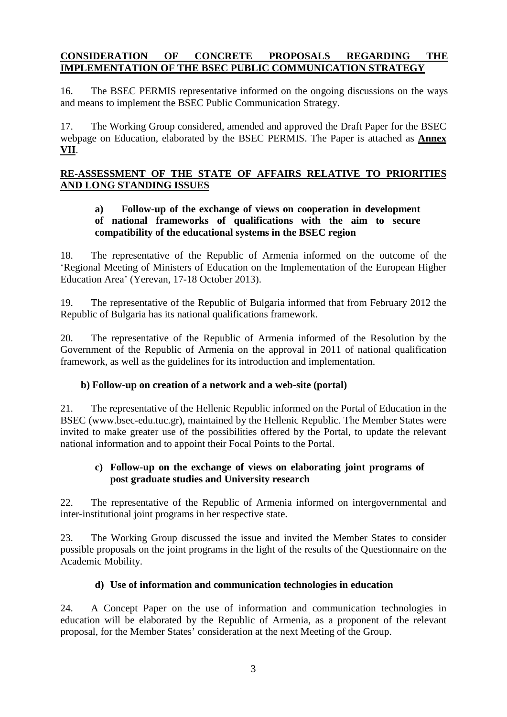# **CONSIDERATION OF CONCRETE PROPOSALS REGARDING THE IMPLEMENTATION OF THE BSEC PUBLIC COMMUNICATION STRATEGY**

16. The BSEC PERMIS representative informed on the ongoing discussions on the ways and means to implement the BSEC Public Communication Strategy.

17. The Working Group considered, amended and approved the Draft Paper for the BSEC webpage on Education, elaborated by the BSEC PERMIS. The Paper is attached as **Annex VII**.

## **RE-ASSESSMENT OF THE STATE OF AFFAIRS RELATIVE TO PRIORITIES AND LONG STANDING ISSUES**

## **a) Follow-up of the exchange of views on cooperation in development of national frameworks of qualifications with the aim to secure compatibility of the educational systems in the BSEC region**

18. The representative of the Republic of Armenia informed on the outcome of the 'Regional Meeting of Ministers of Education on the Implementation of the European Higher Education Area' (Yerevan, 17-18 October 2013).

19. The representative of the Republic of Bulgaria informed that from February 2012 the Republic of Bulgaria has its national qualifications framework.

20. The representative of the Republic of Armenia informed of the Resolution by the Government of the Republic of Armenia on the approval in 2011 of national qualification framework, as well as the guidelines for its introduction and implementation.

#### **b) Follow-up on creation of a network and a web-site (portal)**

21. The representative of the Hellenic Republic informed on the Portal of Education in the BSEC [\(www.bsec-edu.tuc.gr\)](http://www.bsec-edu.tuc.gr/), maintained by the Hellenic Republic. The Member States were invited to make greater use of the possibilities offered by the Portal, to update the relevant national information and to appoint their Focal Points to the Portal.

#### **c) Follow-up on the exchange of views on elaborating joint programs of post graduate studies and University research**

22. The representative of the Republic of Armenia informed on intergovernmental and inter-institutional joint programs in her respective state.

23. The Working Group discussed the issue and invited the Member States to consider possible proposals on the joint programs in the light of the results of the Questionnaire on the Academic Mobility.

#### **d) Use of information and communication technologies in education**

24. A Concept Paper on the use of information and communication technologies in education will be elaborated by the Republic of Armenia, as a proponent of the relevant proposal, for the Member States' consideration at the next Meeting of the Group.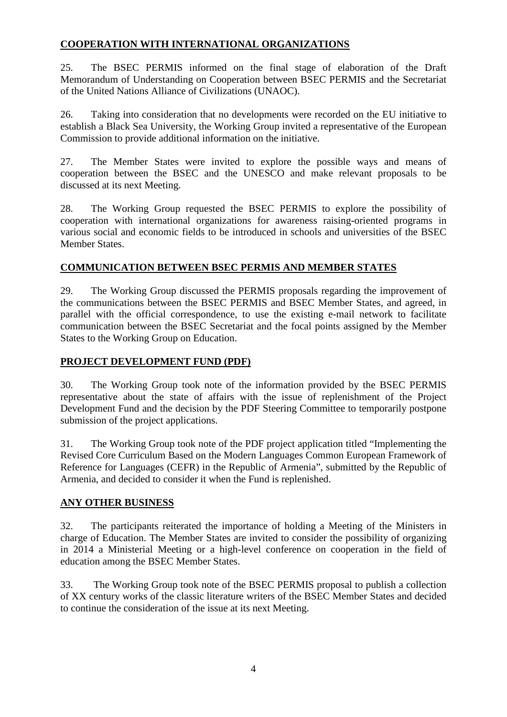### **COOPERATION WITH INTERNATIONAL ORGANIZATIONS**

25. The BSEC PERMIS informed on the final stage of elaboration of the Draft Memorandum of Understanding on Cooperation between BSEC PERMIS and the Secretariat of the United Nations Alliance of Civilizations (UNAOC).

26. Taking into consideration that no developments were recorded on the EU initiative to establish a Black Sea University, the Working Group invited a representative of the European Commission to provide additional information on the initiative.

27. The Member States were invited to explore the possible ways and means of cooperation between the BSEC and the UNESCO and make relevant proposals to be discussed at its next Meeting.

28. The Working Group requested the BSEC PERMIS to explore the possibility of cooperation with international organizations for awareness raising-oriented programs in various social and economic fields to be introduced in schools and universities of the BSEC Member States.

# **COMMUNICATION BETWEEN BSEC PERMIS AND MEMBER STATES**

29. The Working Group discussed the PERMIS proposals regarding the improvement of the communications between the BSEC PERMIS and BSEC Member States, and agreed, in parallel with the official correspondence, to use the existing e-mail network to facilitate communication between the BSEC Secretariat and the focal points assigned by the Member States to the Working Group on Education.

## **PROJECT DEVELOPMENT FUND (PDF)**

30. The Working Group took note of the information provided by the BSEC PERMIS representative about the state of affairs with the issue of replenishment of the Project Development Fund and the decision by the PDF Steering Committee to temporarily postpone submission of the project applications.

31. The Working Group took note of the PDF project application titled "Implementing the Revised Core Curriculum Based on the Modern Languages Common European Framework of Reference for Languages (CEFR) in the Republic of Armenia", submitted by the Republic of Armenia, and decided to consider it when the Fund is replenished.

# **ANY OTHER BUSINESS**

32. The participants reiterated the importance of holding a Meeting of the Ministers in charge of Education. The Member States are invited to consider the possibility of organizing in 2014 a Ministerial Meeting or a high-level conference on cooperation in the field of education among the BSEC Member States.

33. The Working Group took note of the BSEC PERMIS proposal to publish a collection of XX century works of the classic literature writers of the BSEC Member States and decided to continue the consideration of the issue at its next Meeting.